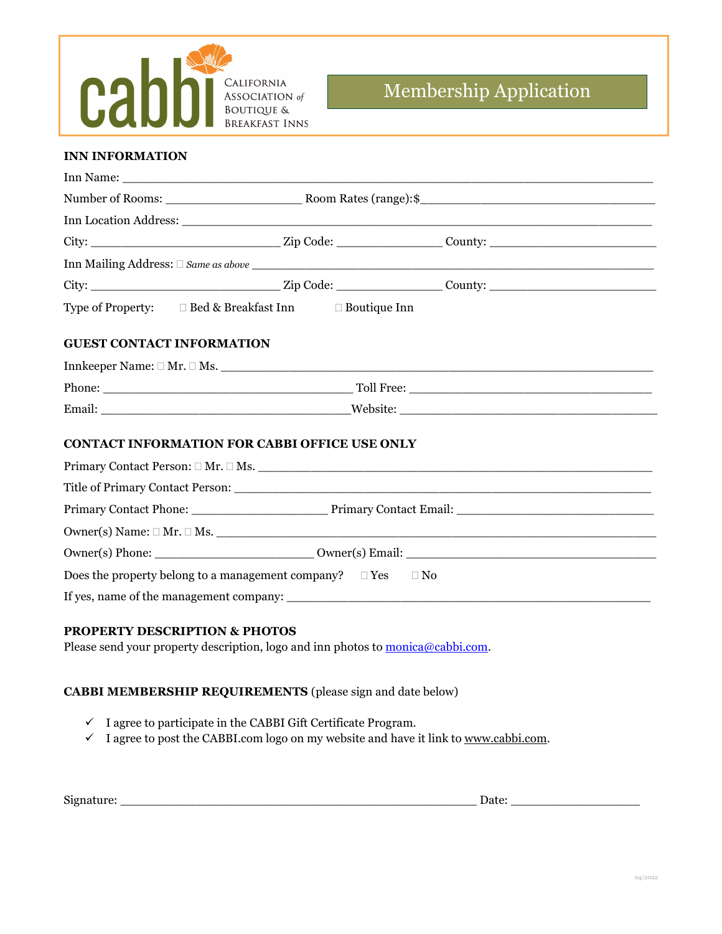

# Membership Application

### **INN INFORMATION**

|                                          |                                                                                 | Inn Location Address: University of the Contract of the Contract of the Contract of the Contract of the Contract of the Contract of the Contract of the Contract of the Contract of the Contract of the Contract of the Contra |  |  |  |
|------------------------------------------|---------------------------------------------------------------------------------|--------------------------------------------------------------------------------------------------------------------------------------------------------------------------------------------------------------------------------|--|--|--|
|                                          |                                                                                 |                                                                                                                                                                                                                                |  |  |  |
|                                          |                                                                                 |                                                                                                                                                                                                                                |  |  |  |
|                                          |                                                                                 |                                                                                                                                                                                                                                |  |  |  |
|                                          | Type of Property: □ Bed & Breakfast Inn □ Boutique Inn                          |                                                                                                                                                                                                                                |  |  |  |
| <b>GUEST CONTACT INFORMATION</b>         |                                                                                 |                                                                                                                                                                                                                                |  |  |  |
|                                          |                                                                                 |                                                                                                                                                                                                                                |  |  |  |
|                                          |                                                                                 |                                                                                                                                                                                                                                |  |  |  |
|                                          |                                                                                 |                                                                                                                                                                                                                                |  |  |  |
|                                          | <b>CONTACT INFORMATION FOR CABBI OFFICE USE ONLY</b>                            | Primary Contact Person: $\square$ Mr. $\square$ Ms.                                                                                                                                                                            |  |  |  |
|                                          |                                                                                 |                                                                                                                                                                                                                                |  |  |  |
|                                          |                                                                                 |                                                                                                                                                                                                                                |  |  |  |
|                                          |                                                                                 |                                                                                                                                                                                                                                |  |  |  |
|                                          |                                                                                 |                                                                                                                                                                                                                                |  |  |  |
|                                          | Does the property belong to a management company? $\square$ Yes $\square$ No    |                                                                                                                                                                                                                                |  |  |  |
|                                          |                                                                                 | If yes, name of the management company:                                                                                                                                                                                        |  |  |  |
| <b>PROPERTY DESCRIPTION &amp; PHOTOS</b> | Please send your property description, logo and inn photos to monica@cabbi.com. |                                                                                                                                                                                                                                |  |  |  |

## **CABBI MEMBERSHIP REQUIREMENTS** (please sign and date below)

- $\checkmark$  I agree to participate in the CABBI Gift Certificate Program.
- $I$  agree to post the CABBI.com logo on my website and have it link to [www.cabbi.com.](http://www.cabbi.com/)

| Signature:<br>Jate |
|--------------------|
|--------------------|